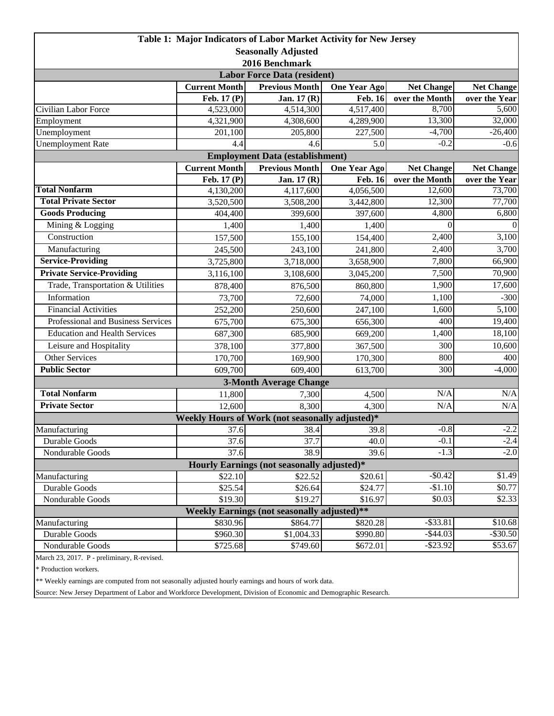| Table 1: Major Indicators of Labor Market Activity for New Jersey |                      |                                                 |                      |                          |                         |  |  |  |  |
|-------------------------------------------------------------------|----------------------|-------------------------------------------------|----------------------|--------------------------|-------------------------|--|--|--|--|
| <b>Seasonally Adjusted</b>                                        |                      |                                                 |                      |                          |                         |  |  |  |  |
| 2016 Benchmark                                                    |                      |                                                 |                      |                          |                         |  |  |  |  |
| <b>Labor Force Data (resident)</b>                                |                      |                                                 |                      |                          |                         |  |  |  |  |
|                                                                   | <b>Current Month</b> | <b>Previous Month</b>                           | <b>One Year Ago</b>  | <b>Net Change</b>        | <b>Net Change</b>       |  |  |  |  |
|                                                                   | Feb. 17 (P)          | Jan. 17 (R)                                     | <b>Feb. 16</b>       | over the Month           | over the Year           |  |  |  |  |
| Civilian Labor Force                                              | 4,523,000            | 4,514,300                                       | 4,517,400            | 8,700                    | 5,600                   |  |  |  |  |
| Employment                                                        | 4,321,900            | 4,308,600                                       | 4,289,900            | 13,300                   | 32,000                  |  |  |  |  |
| Unemployment                                                      | 201,100              | 205,800                                         | 227,500              | $-4,700$                 | $-26,400$               |  |  |  |  |
| <b>Unemployment Rate</b>                                          | 4.4                  | 4.6                                             | 5.0                  | $-0.2$                   | $-0.6$                  |  |  |  |  |
|                                                                   |                      | <b>Employment Data (establishment)</b>          |                      |                          |                         |  |  |  |  |
|                                                                   | <b>Current Month</b> | <b>Previous Month</b>                           | <b>One Year Ago</b>  | <b>Net Change</b>        | <b>Net Change</b>       |  |  |  |  |
| <b>Total Nonfarm</b>                                              | Feb. 17 (P)          | Jan. 17 (R)                                     | <b>Feb. 16</b>       | over the Month<br>12,600 | over the Year<br>73,700 |  |  |  |  |
| <b>Total Private Sector</b>                                       | 4,130,200            | 4,117,600                                       | 4,056,500            | 12,300                   | 77,700                  |  |  |  |  |
| <b>Goods Producing</b>                                            | 3,520,500<br>404,400 | 3,508,200<br>399,600                            | 3,442,800<br>397,600 | 4,800                    | 6,800                   |  |  |  |  |
| Mining & Logging                                                  |                      |                                                 |                      | $\Omega$                 | $\mathbf{0}$            |  |  |  |  |
| Construction                                                      | 1,400                | 1,400                                           | 1,400                | 2,400                    | 3,100                   |  |  |  |  |
|                                                                   | 157,500              | 155,100                                         | 154,400              |                          |                         |  |  |  |  |
| Manufacturing                                                     | 245,500              | 243,100                                         | 241,800              | 2,400                    | 3,700                   |  |  |  |  |
| <b>Service-Providing</b>                                          | 3,725,800            | 3,718,000                                       | 3,658,900            | 7,800                    | 66,900                  |  |  |  |  |
| <b>Private Service-Providing</b>                                  | 3,116,100            | 3,108,600                                       | 3,045,200            | 7,500                    | 70,900                  |  |  |  |  |
| Trade, Transportation & Utilities                                 | 878,400              | 876,500                                         | 860,800              | 1,900                    | 17,600                  |  |  |  |  |
| Information                                                       | 73,700               | 72,600                                          | 74,000               | 1,100                    | $-300$                  |  |  |  |  |
| <b>Financial Activities</b>                                       | 252,200              | 250,600                                         | 247,100              | 1,600                    | 5,100                   |  |  |  |  |
| Professional and Business Services                                | 675,700              | 675,300                                         | 656,300              | 400                      | 19,400                  |  |  |  |  |
| <b>Education and Health Services</b>                              | 687,300              | 685,900                                         | 669,200              | 1,400                    | 18,100                  |  |  |  |  |
| Leisure and Hospitality                                           | 378,100              | 377,800                                         | 367,500              | 300                      | 10,600                  |  |  |  |  |
| <b>Other Services</b>                                             | 170,700              | 169,900                                         | 170,300              | 800                      | 400                     |  |  |  |  |
| <b>Public Sector</b>                                              | 609,700              | 609,400                                         | 613,700              | 300                      | $-4,000$                |  |  |  |  |
|                                                                   |                      | <b>3-Month Average Change</b>                   |                      |                          |                         |  |  |  |  |
| <b>Total Nonfarm</b>                                              | 11,800               | 7,300                                           | 4,500                | N/A                      | $\rm N/A$               |  |  |  |  |
| <b>Private Sector</b>                                             | 12,600               | 8,300                                           | 4.300                | N/A                      | N/A                     |  |  |  |  |
|                                                                   |                      | Weekly Hours of Work (not seasonally adjusted)* |                      |                          |                         |  |  |  |  |
| Manufacturing                                                     | 37.6                 | 38.4                                            | 39.8                 | $-0.8$                   | $-2.2$                  |  |  |  |  |
| Durable Goods                                                     | 37.6                 | 37.7                                            | 40.0                 | $-0.1$                   | $-2.4$                  |  |  |  |  |
| Nondurable Goods                                                  | 37.6                 | 38.9                                            | 39.6                 | $-1.3$                   | $-2.0$                  |  |  |  |  |
| Hourly Earnings (not seasonally adjusted)*                        |                      |                                                 |                      |                          |                         |  |  |  |  |
| Manufacturing                                                     | \$22.10              | \$22.52                                         | \$20.61              | $-$0.42$                 | \$1.49                  |  |  |  |  |
| Durable Goods                                                     | \$25.54              | \$26.64                                         | \$24.77              | $-$ \$1.10               | \$0.77                  |  |  |  |  |
| Nondurable Goods                                                  | \$19.30              | \$19.27                                         | \$16.97              | \$0.03                   | \$2.33                  |  |  |  |  |
| Weekly Earnings (not seasonally adjusted)**                       |                      |                                                 |                      |                          |                         |  |  |  |  |
| Manufacturing                                                     | \$830.96             | \$864.77                                        | \$820.28             | $-$ \$33.81              | \$10.68                 |  |  |  |  |
| Durable Goods                                                     | \$960.30             | \$1,004.33                                      | \$990.80             | $-$ \$44.03              | $-$ \$30.50             |  |  |  |  |
| Nondurable Goods                                                  | \$725.68             | \$749.60                                        | \$672.01             | $-$ \$23.92              | \$53.67                 |  |  |  |  |

March 23, 2017. P - preliminary, R-revised.

\* Production workers.

\*\* Weekly earnings are computed from not seasonally adjusted hourly earnings and hours of work data.

Source: New Jersey Department of Labor and Workforce Development, Division of Economic and Demographic Research.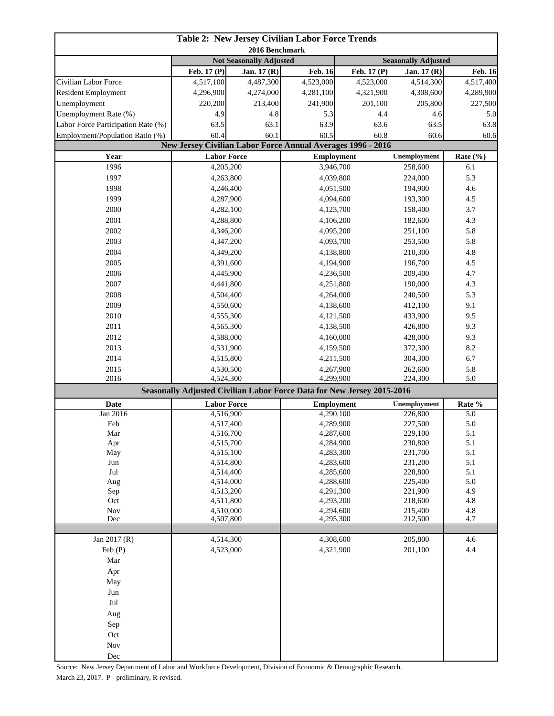| <b>Table 2: New Jersey Civilian Labor Force Trends</b>                |                          |                                |                                                                        |                                                                                    |                        |                            |  |
|-----------------------------------------------------------------------|--------------------------|--------------------------------|------------------------------------------------------------------------|------------------------------------------------------------------------------------|------------------------|----------------------------|--|
| 2016 Benchmark                                                        |                          |                                |                                                                        |                                                                                    |                        |                            |  |
|                                                                       |                          | <b>Not Seasonally Adjusted</b> |                                                                        |                                                                                    |                        | <b>Seasonally Adjusted</b> |  |
| Civilian Labor Force                                                  | Feb. 17 (P)<br>4,517,100 | Jan. 17 (R)                    | <b>Feb. 16</b><br>4,523,000                                            | Feb. 17 (P)                                                                        | Jan. 17 (R)            | Feb. 16                    |  |
| <b>Resident Employment</b>                                            | 4,296,900                | 4,487,300<br>4,274,000         | 4,281,100                                                              | 4,523,000<br>4,321,900                                                             | 4,514,300<br>4,308,600 | 4,517,400<br>4,289,900     |  |
| Unemployment                                                          | 220,200                  | 213,400                        | 241,900                                                                | 201,100                                                                            | 205,800                | 227,500                    |  |
| Unemployment Rate (%)                                                 | 4.9                      | 4.8                            | 5.3                                                                    | 4.4                                                                                | 4.6                    | 5.0                        |  |
|                                                                       | 63.5                     |                                | 63.9                                                                   |                                                                                    |                        | 63.8                       |  |
| Labor Force Participation Rate (%)<br>Employment/Population Ratio (%) |                          | 63.1                           |                                                                        | 63.6                                                                               | 63.5<br>60.6           |                            |  |
|                                                                       | 60.4<br>60.1             |                                |                                                                        | 60.5<br>60.8<br><b>New Jersey Civilian Labor Force Annual Averages 1996 - 2016</b> |                        | 60.6                       |  |
| Year                                                                  | <b>Labor Force</b>       |                                | <b>Employment</b>                                                      |                                                                                    | Unemployment           | Rate $(\% )$               |  |
| 1996                                                                  | 4,205,200                |                                | 3,946,700                                                              |                                                                                    | 258,600                | 6.1                        |  |
| 1997                                                                  | 4,263,800                |                                | 4,039,800                                                              |                                                                                    | 224,000                | 5.3                        |  |
| 1998                                                                  | 4,246,400                |                                |                                                                        | 4,051,500                                                                          |                        | 4.6                        |  |
| 1999                                                                  | 4,287,900                |                                | 4,094,600                                                              |                                                                                    | 194,900<br>193,300     | 4.5                        |  |
| 2000                                                                  | 4,282,100                |                                | 4,123,700                                                              |                                                                                    | 158,400                | 3.7                        |  |
| 2001                                                                  | 4,288,800                |                                | 4,106,200                                                              |                                                                                    | 182,600                | 4.3                        |  |
| 2002                                                                  | 4,346,200                |                                |                                                                        |                                                                                    | 251,100                | 5.8                        |  |
| 2003                                                                  | 4,347,200                |                                |                                                                        | 4,095,200<br>4,093,700                                                             |                        | 5.8                        |  |
| 2004                                                                  | 4,349,200                |                                | 4,138,800                                                              |                                                                                    | 253,500<br>210,300     | 4.8                        |  |
| 2005                                                                  | 4,391,600                |                                | 4,194,900                                                              |                                                                                    | 196,700                | 4.5                        |  |
| 2006                                                                  | 4,445,900                |                                | 4,236,500                                                              |                                                                                    | 209,400                | 4.7                        |  |
| 2007                                                                  | 4,441,800                |                                |                                                                        |                                                                                    | 190,000                | 4.3                        |  |
| 2008                                                                  | 4,504,400                |                                |                                                                        | 4,251,800                                                                          |                        | 5.3                        |  |
| 2009                                                                  | 4,550,600                |                                | 4,264,000                                                              |                                                                                    | 240,500<br>412,100     | 9.1                        |  |
| 2010                                                                  | 4,555,300                |                                |                                                                        | 4,138,600                                                                          |                        | 9.5                        |  |
| 2011                                                                  |                          |                                | 4,121,500                                                              |                                                                                    | 433,900                |                            |  |
| 2012                                                                  | 4,565,300                |                                | 4,138,500                                                              |                                                                                    | 426,800                | 9.3<br>9.3                 |  |
|                                                                       | 4,588,000                |                                | 4,160,000                                                              |                                                                                    | 428,000                |                            |  |
| 2013                                                                  | 4,531,900                |                                | 4,159,500                                                              |                                                                                    | 372,300                | 8.2                        |  |
| 2014                                                                  | 4,515,800                |                                | 4,211,500<br>4,267,900                                                 |                                                                                    | 304,300                | 6.7                        |  |
| 2015<br>2016                                                          | 4,530,500<br>4,524,300   |                                | 4,299,900                                                              |                                                                                    | 262,600<br>224,300     | 5.8<br>5.0                 |  |
|                                                                       |                          |                                | Seasonally Adjusted Civilian Labor Force Data for New Jersey 2015-2016 |                                                                                    |                        |                            |  |
| <b>Date</b>                                                           | <b>Labor Force</b>       |                                | <b>Employment</b>                                                      |                                                                                    | Unemployment           | Rate %                     |  |
| Jan 2016                                                              | 4,516,900                |                                | 4,290,100                                                              |                                                                                    | 226,800                | 5.0                        |  |
| Feb                                                                   | 4,517,400                |                                | 4,289,900                                                              |                                                                                    | 227,500                | 5.0                        |  |
| Mar                                                                   | 4,516,700                |                                | 4,287,600                                                              |                                                                                    | 229,100                | 5.1                        |  |
| Apr                                                                   | 4,515,700                |                                | 4,284,900                                                              |                                                                                    | 230,800                | 5.1                        |  |
| May                                                                   | 4,515,100                |                                | 4,283,300                                                              |                                                                                    | 231,700                | 5.1                        |  |
| Jun                                                                   | 4,514,800                |                                | 4,283,600                                                              |                                                                                    | 231,200                | 5.1                        |  |
| $\mathrm{Jul}$                                                        | 4,514,400                |                                | 4,285,600                                                              |                                                                                    | 228,800                | 5.1                        |  |
| Aug                                                                   | 4,514,000                |                                | 4,288,600                                                              |                                                                                    | 225,400<br>221,900     | 5.0                        |  |
| Sep                                                                   | 4,513,200                |                                |                                                                        | 4,291,300                                                                          |                        | 4.9                        |  |
| Oct                                                                   | 4,511,800                |                                | 4,293,200                                                              |                                                                                    | 218,600                | 4.8                        |  |
| Nov<br>Dec                                                            | 4,510,000                |                                | 4,294,600                                                              |                                                                                    | 215,400                | 4.8<br>4.7                 |  |
|                                                                       | 4,507,800                |                                | 4,295,300                                                              |                                                                                    | 212,500                |                            |  |
| Jan 2017 (R)                                                          | 4,514,300                |                                | 4,308,600                                                              |                                                                                    | 205,800                | 4.6                        |  |
| Feb (P)                                                               | 4,523,000                |                                | 4,321,900                                                              |                                                                                    | 201,100                | 4.4                        |  |
| Mar                                                                   |                          |                                |                                                                        |                                                                                    |                        |                            |  |
| Apr                                                                   |                          |                                |                                                                        |                                                                                    |                        |                            |  |
| May                                                                   |                          |                                |                                                                        |                                                                                    |                        |                            |  |
| Jun                                                                   |                          |                                |                                                                        |                                                                                    |                        |                            |  |
| Jul                                                                   |                          |                                |                                                                        |                                                                                    |                        |                            |  |
| Aug                                                                   |                          |                                |                                                                        |                                                                                    |                        |                            |  |
| Sep                                                                   |                          |                                |                                                                        |                                                                                    |                        |                            |  |
| Oct                                                                   |                          |                                |                                                                        |                                                                                    |                        |                            |  |
| Nov                                                                   |                          |                                |                                                                        |                                                                                    |                        |                            |  |
| Dec                                                                   |                          |                                |                                                                        |                                                                                    |                        |                            |  |
|                                                                       |                          |                                |                                                                        |                                                                                    |                        |                            |  |

Source: New Jersey Department of Labor and Workforce Development, Division of Economic & Demographic Research. March 23, 2017. P - preliminary, R-revised.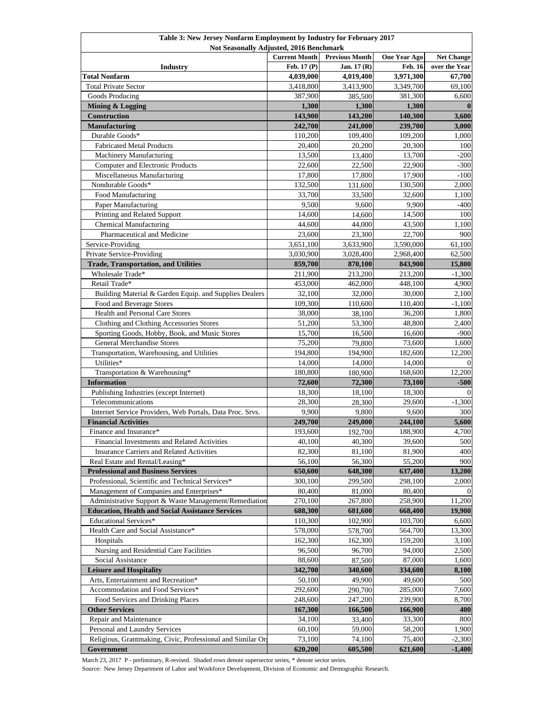| Table 3: New Jersey Nonfarm Employment by Industry for February 2017<br>Not Seasonally Adjusted, 2016 Benchmark |                      |                       |                     |                   |  |  |
|-----------------------------------------------------------------------------------------------------------------|----------------------|-----------------------|---------------------|-------------------|--|--|
|                                                                                                                 | <b>Current Month</b> | <b>Previous Month</b> | <b>One Year Ago</b> | <b>Net Change</b> |  |  |
| Industry                                                                                                        | Feb. 17 (P)          | Jan. 17 (R)           | <b>Feb. 16</b>      | over the Year     |  |  |
| <b>Total Nonfarm</b>                                                                                            | 4,039,000            | 4,019,400             | 3,971,300           | 67,700            |  |  |
| <b>Total Private Sector</b>                                                                                     | 3,418,800            | 3,413,900             | 3,349,700           | 69,100            |  |  |
| Goods Producing                                                                                                 | 387,900              | 385,500               | 381,300             | 6,600             |  |  |
| Mining & Logging                                                                                                | 1,300                | 1,300                 | 1,300               | $\mathbf{0}$      |  |  |
| <b>Construction</b>                                                                                             | 143,900              | 143,200               | 140,300             | 3,600             |  |  |
| Manufacturing                                                                                                   | 242,700              | 241,000               | 239,700             | 3,000             |  |  |
| Durable Goods*                                                                                                  | 110,200              | 109,400               | 109,200             | 1,000             |  |  |
| <b>Fabricated Metal Products</b>                                                                                | 20,400               | 20,200                | 20,300              | 100               |  |  |
| <b>Machinery Manufacturing</b>                                                                                  | 13,500               | 13,400                | 13,700              | $-200$            |  |  |
| <b>Computer and Electronic Products</b>                                                                         | 22,600               | 22,500                | 22,900              | $-300$            |  |  |
| Miscellaneous Manufacturing                                                                                     | 17,800               | 17,800                | 17,900              | $-100$            |  |  |
| Nondurable Goods*                                                                                               | 132,500              | 131,600               | 130,500             | 2,000             |  |  |
| Food Manufacturing                                                                                              | 33,700               | 33,500                | 32,600              | 1,100             |  |  |
| Paper Manufacturing                                                                                             | 9,500                | 9,600                 | 9,900               | $-400$            |  |  |
| Printing and Related Support                                                                                    | 14,600               | 14,600                | 14,500              | 100               |  |  |
| <b>Chemical Manufacturing</b>                                                                                   | 44,600               | 44,000                | 43,500              | 1,100             |  |  |
| Pharmaceutical and Medicine                                                                                     | 23,600               | 23,300                | 22,700              | 900               |  |  |
| Service-Providing                                                                                               | 3,651,100            | 3,633,900             | 3,590,000           | 61.100            |  |  |
| Private Service-Providing                                                                                       | 3,030,900            | 3,028,400             | 2,968,400           | 62,500            |  |  |
| <b>Trade, Transportation, and Utilities</b>                                                                     | 859,700              | 870,100               | 843,900             | 15,800            |  |  |
| Wholesale Trade*                                                                                                | 211,900              | 213,200               | 213,200             | $-1,300$          |  |  |
| Retail Trade*                                                                                                   | 453,000              | 462,000               | 448,100             | 4,900             |  |  |
| Building Material & Garden Equip. and Supplies Dealers                                                          | 32,100               | 32,000                | 30,000              | 2,100             |  |  |
| Food and Beverage Stores                                                                                        | 109,300              | 110,600               | 110,400             | $-1,100$          |  |  |
| Health and Personal Care Stores                                                                                 | 38,000               | 38,100                | 36,200              | 1,800             |  |  |
| Clothing and Clothing Accessories Stores                                                                        | 51,200               | 53,300                | 48,800              | 2,400             |  |  |
| Sporting Goods, Hobby, Book, and Music Stores                                                                   | 15,700               | 16,500                | 16,600              | $-900$            |  |  |
| <b>General Merchandise Stores</b>                                                                               | 75,200               | 79,800                | 73,600              | 1,600             |  |  |
| Transportation, Warehousing, and Utilities                                                                      | 194,800              | 194,900               | 182,600             | 12,200            |  |  |
| Utilities*                                                                                                      | 14,000               | 14,000                | 14,000              | $\Omega$          |  |  |
| Transportation & Warehousing*                                                                                   | 180,800              | 180,900               | 168,600             | 12,200            |  |  |
| <b>Information</b>                                                                                              | 72,600               | 72,300                | 73,100              | $-500$            |  |  |
| Publishing Industries (except Internet)                                                                         | 18,300               | 18,100                | 18,300              | $\theta$          |  |  |
| Telecommunications                                                                                              | 28,300               | 28,300                | 29,600              | $-1,300$          |  |  |
| Internet Service Providers, Web Portals, Data Proc. Srvs.                                                       | 9,900                | 9,800                 | 9,600               | 300               |  |  |
| <b>Financial Activities</b>                                                                                     | 249,700              | 249,000               | 244,100             | 5,600             |  |  |
| Finance and Insurance*                                                                                          | 193,600              | 192,700               | 188,900             | 4,700             |  |  |
| Financial Investments and Related Activities                                                                    | 40,100               | 40,300                | 39,600              | 500               |  |  |
| Insurance Carriers and Related Activities                                                                       | 82,300               | 81,100                | 81,900              | 400               |  |  |
| Real Estate and Rental/Leasing*                                                                                 | 56,100               | 56,300                | 55,200              | 900               |  |  |
| <b>Professional and Business Services</b>                                                                       | 650,600              | 648,300               | 637,400             | 13,200            |  |  |
| Professional, Scientific and Technical Services*                                                                | 300,100              | 299,500               | 298,100             | 2,000             |  |  |
| Management of Companies and Enterprises*                                                                        | 80,400               | 81,000                | 80,400              | $\Omega$          |  |  |
| Administrative Support & Waste Management/Remediation                                                           | 270,100              | 267,800               | 258,900             | 11,200            |  |  |
| <b>Education, Health and Social Assistance Services</b>                                                         | 688,300              | 681,600               | 668,400             | 19,900            |  |  |
| <b>Educational Services*</b>                                                                                    | 110,300              | 102,900               | 103,700             | 6,600             |  |  |
| Health Care and Social Assistance*                                                                              | 578,000              | 578,700               | 564,700             | 13,300            |  |  |
| Hospitals                                                                                                       | 162,300              | 162,300               | 159,200             | 3,100             |  |  |
| Nursing and Residential Care Facilities                                                                         | 96,500               | 96,700                | 94,000              | 2,500             |  |  |
|                                                                                                                 |                      | 87,500                |                     |                   |  |  |
| Social Assistance<br><b>Leisure and Hospitality</b>                                                             | 88,600<br>342,700    | 340,600               | 87,000<br>334,600   | 1,600<br>8,100    |  |  |
| Arts, Entertainment and Recreation*                                                                             | 50,100               | 49,900                | 49,600              | 500               |  |  |
| Accommodation and Food Services*                                                                                | 292,600              | 290,700               | 285,000             | 7,600             |  |  |
| Food Services and Drinking Places                                                                               | 248,600              | 247,200               | 239,900             | 8,700             |  |  |
| <b>Other Services</b>                                                                                           |                      |                       |                     |                   |  |  |
| Repair and Maintenance                                                                                          | 167,300<br>34,100    | 166,500<br>33,400     | 166,900<br>33,300   | 400<br>800        |  |  |
| Personal and Laundry Services                                                                                   | 60,100               | 59,000                | 58,200              | 1,900             |  |  |
| Religious, Grantmaking, Civic, Professional and Similar Or                                                      | 73,100               | 74,100                | 75,400              | $-2,300$          |  |  |
| Government                                                                                                      | 620,200              | 605,500               | 621,600             | $-1,400$          |  |  |

March 23, 2017 P - preliminary, R-revised. Shaded rows denote supersector series, \* denote sector series.

Source: New Jersey Department of Labor and Workforce Development, Division of Economic and Demographic Research.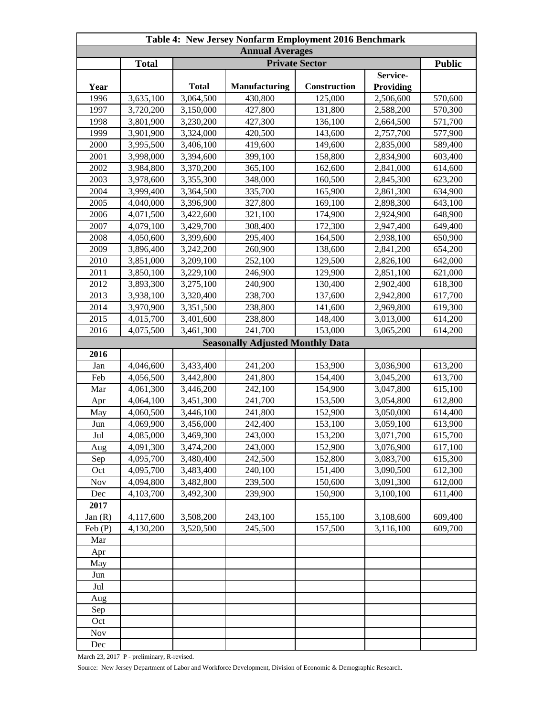| Table 4: New Jersey Nonfarm Employment 2016 Benchmark |              |              |                                         |              |           |         |  |
|-------------------------------------------------------|--------------|--------------|-----------------------------------------|--------------|-----------|---------|--|
| <b>Annual Averages</b>                                |              |              |                                         |              |           |         |  |
|                                                       | <b>Total</b> |              | <b>Public</b>                           |              |           |         |  |
|                                                       |              |              |                                         |              | Service-  |         |  |
| Year                                                  |              | <b>Total</b> | <b>Manufacturing</b>                    | Construction | Providing |         |  |
| 1996                                                  | 3,635,100    | 3,064,500    | 430,800                                 | 125,000      | 2,506,600 | 570,600 |  |
| 1997                                                  | 3,720,200    | 3,150,000    | 427,800                                 | 131,800      | 2,588,200 | 570,300 |  |
| 1998                                                  | 3,801,900    | 3,230,200    | 427,300                                 | 136,100      | 2,664,500 | 571,700 |  |
| 1999                                                  | 3,901,900    | 3,324,000    | 420,500                                 | 143,600      | 2,757,700 | 577,900 |  |
| 2000                                                  | 3,995,500    | 3,406,100    | 419,600                                 | 149,600      | 2,835,000 | 589,400 |  |
| 2001                                                  | 3,998,000    | 3,394,600    | 399,100                                 | 158,800      | 2,834,900 | 603,400 |  |
| 2002                                                  | 3,984,800    | 3,370,200    | 365,100                                 | 162,600      | 2,841,000 | 614,600 |  |
| 2003                                                  | 3,978,600    | 3,355,300    | 348,000                                 | 160,500      | 2,845,300 | 623,200 |  |
| 2004                                                  | 3,999,400    | 3,364,500    | 335,700                                 | 165,900      | 2,861,300 | 634,900 |  |
| 2005                                                  | 4,040,000    | 3,396,900    | 327,800                                 | 169,100      | 2,898,300 | 643,100 |  |
| 2006                                                  | 4,071,500    | 3,422,600    | 321,100                                 | 174,900      | 2,924,900 | 648,900 |  |
| 2007                                                  | 4,079,100    | 3,429,700    | 308,400                                 | 172,300      | 2,947,400 | 649,400 |  |
| 2008                                                  | 4,050,600    | 3,399,600    | 295,400                                 | 164,500      | 2,938,100 | 650,900 |  |
| 2009                                                  | 3,896,400    | 3,242,200    | 260,900                                 | 138,600      | 2,841,200 | 654,200 |  |
| 2010                                                  | 3,851,000    | 3,209,100    | 252,100                                 | 129,500      | 2,826,100 | 642,000 |  |
| 2011                                                  | 3,850,100    | 3,229,100    | 246,900                                 | 129,900      | 2,851,100 | 621,000 |  |
| 2012                                                  | 3,893,300    | 3,275,100    | 240,900                                 | 130,400      | 2,902,400 | 618,300 |  |
| 2013                                                  | 3,938,100    | 3,320,400    | 238,700                                 | 137,600      | 2,942,800 | 617,700 |  |
| 2014                                                  | 3,970,900    | 3,351,500    | 238,800                                 | 141,600      | 2,969,800 | 619,300 |  |
| 2015                                                  | 4,015,700    | 3,401,600    | 238,800                                 | 148,400      | 3,013,000 | 614,200 |  |
| 2016                                                  | 4,075,500    | 3,461,300    | 241,700                                 | 153,000      | 3,065,200 | 614,200 |  |
|                                                       |              |              | <b>Seasonally Adjusted Monthly Data</b> |              |           |         |  |
| 2016                                                  |              |              |                                         |              |           |         |  |
| Jan                                                   | 4,046,600    | 3,433,400    | 241,200                                 | 153,900      | 3,036,900 | 613,200 |  |
| Feb                                                   | 4,056,500    | 3,442,800    | 241,800                                 | 154,400      | 3,045,200 | 613,700 |  |
| Mar                                                   | 4,061,300    | 3,446,200    | 242,100                                 | 154,900      | 3,047,800 | 615,100 |  |
| Apr                                                   | 4,064,100    | 3,451,300    | 241,700                                 | 153,500      | 3,054,800 | 612,800 |  |
| May                                                   | 4,060,500    | 3,446,100    | 241,800                                 | 152,900      | 3,050,000 | 614,400 |  |
| Jun                                                   | 4,069,900    | 3,456,000    | 242,400                                 | 153,100      | 3,059,100 | 613,900 |  |
| Jul                                                   | 4,085,000    | 3,469,300    | 243,000                                 | 153,200      | 3,071,700 | 615.700 |  |
| Aug                                                   | 4,091,300    | 3,474,200    | 243,000                                 | 152,900      | 3,076,900 | 617,100 |  |
| Sep                                                   | 4,095,700    | 3,480,400    | 242,500                                 | 152,800      | 3,083,700 | 615,300 |  |
| Oct                                                   | 4,095,700    | 3,483,400    | 240,100                                 | 151,400      | 3,090,500 | 612,300 |  |
| Nov                                                   | 4,094,800    | 3,482,800    | 239,500                                 | 150,600      | 3,091,300 | 612,000 |  |
| Dec                                                   | 4,103,700    | 3,492,300    | 239,900                                 | 150,900      | 3,100,100 | 611,400 |  |
| 2017                                                  |              |              |                                         |              |           |         |  |
| Jan(R)                                                | 4,117,600    | 3,508,200    | 243,100                                 | 155,100      | 3,108,600 | 609,400 |  |
| Feb(P)                                                | 4,130,200    | 3,520,500    | 245,500                                 | 157,500      | 3,116,100 | 609,700 |  |
| Mar                                                   |              |              |                                         |              |           |         |  |
| Apr                                                   |              |              |                                         |              |           |         |  |
| May                                                   |              |              |                                         |              |           |         |  |
| Jun                                                   |              |              |                                         |              |           |         |  |
| Jul                                                   |              |              |                                         |              |           |         |  |
| Aug                                                   |              |              |                                         |              |           |         |  |
| Sep                                                   |              |              |                                         |              |           |         |  |
| Oct                                                   |              |              |                                         |              |           |         |  |
| Nov                                                   |              |              |                                         |              |           |         |  |
| Dec                                                   |              |              |                                         |              |           |         |  |

March 23, 2017 P - preliminary, R-revised.

Source: New Jersey Department of Labor and Workforce Development, Division of Economic & Demographic Research.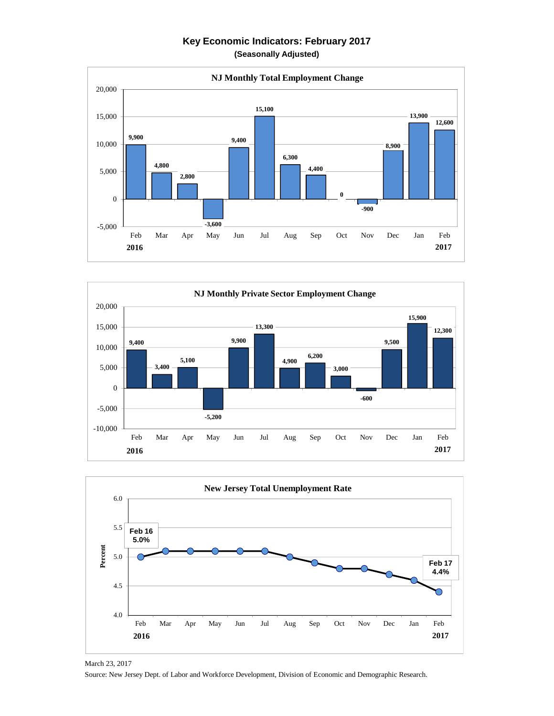## **Key Economic Indicators: February 2017 (Seasonally Adjusted)**